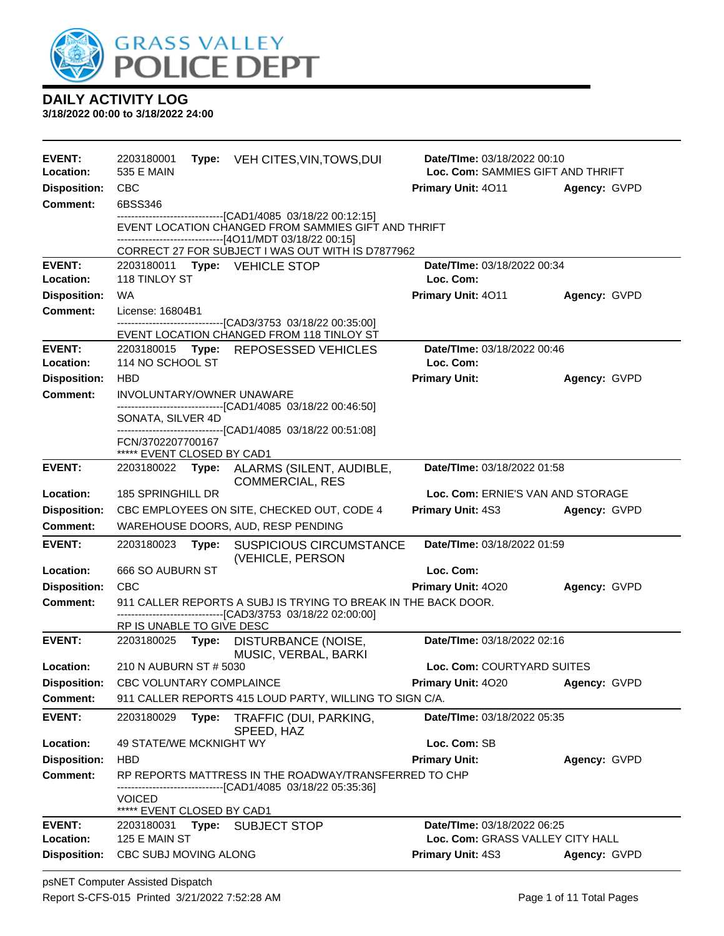

| <b>EVENT:</b><br>Location: | 2203180001<br>Type: VEH CITES, VIN, TOWS, DUI<br>535 E MAIN                                                                    | Date/TIme: 03/18/2022 00:10<br>Loc. Com: SAMMIES GIFT AND THRIFT |              |
|----------------------------|--------------------------------------------------------------------------------------------------------------------------------|------------------------------------------------------------------|--------------|
| <b>Disposition:</b>        | <b>CBC</b>                                                                                                                     | <b>Primary Unit: 4011</b>                                        | Agency: GVPD |
| <b>Comment:</b>            | 6BSS346                                                                                                                        |                                                                  |              |
|                            | --------------------------------[CAD1/4085 03/18/22 00:12:15]                                                                  |                                                                  |              |
|                            | EVENT LOCATION CHANGED FROM SAMMIES GIFT AND THRIFT<br>---------------------[4O11/MDT 03/18/22 00:15]                          |                                                                  |              |
|                            | CORRECT 27 FOR SUBJECT I WAS OUT WITH IS D7877962                                                                              |                                                                  |              |
| <b>EVENT:</b>              | 2203180011 Type: VEHICLE STOP                                                                                                  | Date/TIme: 03/18/2022 00:34                                      |              |
| Location:                  | 118 TINLOY ST                                                                                                                  | Loc. Com:                                                        |              |
| <b>Disposition:</b>        | <b>WA</b>                                                                                                                      | Primary Unit: 4011                                               | Agency: GVPD |
| <b>Comment:</b>            | License: 16804B1<br>-----------------------[CAD3/3753 03/18/22 00:35:00]                                                       |                                                                  |              |
|                            | EVENT LOCATION CHANGED FROM 118 TINLOY ST                                                                                      |                                                                  |              |
| <b>EVENT:</b>              | 2203180015 Type: REPOSESSED VEHICLES                                                                                           | Date/TIme: 03/18/2022 00:46                                      |              |
| Location:                  | 114 NO SCHOOL ST                                                                                                               | Loc. Com:                                                        |              |
| <b>Disposition:</b>        | <b>HBD</b>                                                                                                                     | <b>Primary Unit:</b>                                             | Agency: GVPD |
| <b>Comment:</b>            | <b>INVOLUNTARY/OWNER UNAWARE</b><br>----------------------[CAD1/4085 03/18/22 00:46:50]                                        |                                                                  |              |
|                            | SONATA, SILVER 4D                                                                                                              |                                                                  |              |
|                            | ------------------------------[CAD1/4085 03/18/22 00:51:08]<br>FCN/3702207700167                                               |                                                                  |              |
|                            | ***** EVENT CLOSED BY CAD1                                                                                                     |                                                                  |              |
| <b>EVENT:</b>              | Type: ALARMS (SILENT, AUDIBLE,<br>2203180022<br><b>COMMERCIAL, RES</b>                                                         | Date/TIme: 03/18/2022 01:58                                      |              |
| Location:                  | 185 SPRINGHILL DR                                                                                                              | Loc. Com: ERNIE'S VAN AND STORAGE                                |              |
| <b>Disposition:</b>        | CBC EMPLOYEES ON SITE, CHECKED OUT, CODE 4                                                                                     | Primary Unit: 4S3                                                | Agency: GVPD |
| <b>Comment:</b>            | WAREHOUSE DOORS, AUD, RESP PENDING                                                                                             |                                                                  |              |
| <b>EVENT:</b>              | 2203180023<br>Type:<br><b>SUSPICIOUS CIRCUMSTANCE</b><br>(VEHICLE, PERSON                                                      | Date/TIme: 03/18/2022 01:59                                      |              |
| Location:                  | 666 SO AUBURN ST                                                                                                               | Loc. Com:                                                        |              |
| <b>Disposition:</b>        | CBC                                                                                                                            | Primary Unit: 4020                                               | Agency: GVPD |
| <b>Comment:</b>            | 911 CALLER REPORTS A SUBJ IS TRYING TO BREAK IN THE BACK DOOR.<br>-------------------------------[CAD3/3753 03/18/22 02:00:00] |                                                                  |              |
|                            | RP IS UNABLE TO GIVE DESC                                                                                                      |                                                                  |              |
| <b>EVENT:</b>              | 2203180025 Type: DISTURBANCE (NOISE,<br>MUSIC, VERBAL, BARKI                                                                   | Date/TIme: 03/18/2022 02:16                                      |              |
| Location:                  | 210 N AUBURN ST # 5030                                                                                                         | Loc. Com: COURTYARD SUITES                                       |              |
| <b>Disposition:</b>        | CBC VOLUNTARY COMPLAINCE                                                                                                       | Primary Unit: 4020                                               | Agency: GVPD |
| <b>Comment:</b>            | 911 CALLER REPORTS 415 LOUD PARTY, WILLING TO SIGN C/A.                                                                        |                                                                  |              |
| <b>EVENT:</b>              | 2203180029<br>Type:<br>TRAFFIC (DUI, PARKING,<br>SPEED, HAZ                                                                    | Date/TIme: 03/18/2022 05:35                                      |              |
| Location:                  | 49 STATE/WE MCKNIGHT WY                                                                                                        | Loc. Com: SB                                                     |              |
| <b>Disposition:</b>        | <b>HBD</b>                                                                                                                     | <b>Primary Unit:</b>                                             | Agency: GVPD |
| <b>Comment:</b>            | RP REPORTS MATTRESS IN THE ROADWAY/TRANSFERRED TO CHP<br>--------------[CAD1/4085 03/18/22 05:35:36]                           |                                                                  |              |
|                            | <b>VOICED</b><br>***** EVENT CLOSED BY CAD1                                                                                    |                                                                  |              |
| <b>EVENT:</b>              | 2203180031 <b>Type:</b><br><b>SUBJECT STOP</b>                                                                                 | Date/TIme: 03/18/2022 06:25                                      |              |
| Location:                  | 125 E MAIN ST                                                                                                                  | Loc. Com: GRASS VALLEY CITY HALL                                 |              |
| <b>Disposition:</b>        | CBC SUBJ MOVING ALONG                                                                                                          | Primary Unit: 4S3                                                | Agency: GVPD |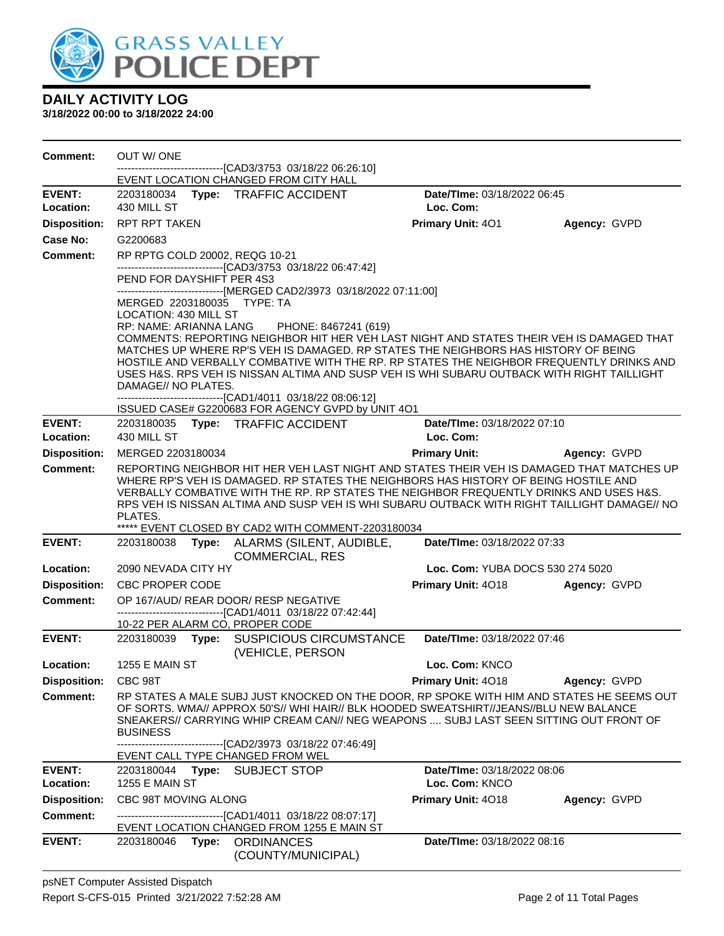

| Comment:                         | OUT W/ONE                                           |       |                                                                                                                                                                                  |                                         |              |
|----------------------------------|-----------------------------------------------------|-------|----------------------------------------------------------------------------------------------------------------------------------------------------------------------------------|-----------------------------------------|--------------|
|                                  |                                                     |       | ----------------------[CAD3/3753_03/18/22_06:26:10]<br>EVENT LOCATION CHANGED FROM CITY HALL                                                                                     |                                         |              |
| <b>EVENT:</b>                    |                                                     |       | 2203180034 Type: TRAFFIC ACCIDENT                                                                                                                                                | Date/TIme: 03/18/2022 06:45             |              |
| Location:                        | 430 MILL ST                                         |       |                                                                                                                                                                                  | Loc. Com:                               |              |
| <b>Disposition:</b>              | RPT RPT TAKEN                                       |       |                                                                                                                                                                                  | Primary Unit: 401                       | Agency: GVPD |
| <b>Case No:</b>                  | G2200683                                            |       |                                                                                                                                                                                  |                                         |              |
| <b>Comment:</b>                  | RP RPTG COLD 20002, REQG 10-21                      |       |                                                                                                                                                                                  |                                         |              |
|                                  | PEND FOR DAYSHIFT PER 4S3                           |       | -------------------------------[CAD3/3753 03/18/22 06:47:42]                                                                                                                     |                                         |              |
|                                  |                                                     |       | ------------------------------[MERGED CAD2/3973 03/18/2022 07:11:00]                                                                                                             |                                         |              |
|                                  | MERGED 2203180035 TYPE: TA<br>LOCATION: 430 MILL ST |       |                                                                                                                                                                                  |                                         |              |
|                                  | RP: NAME: ARIANNA LANG                              |       | PHONE: 8467241 (619)                                                                                                                                                             |                                         |              |
|                                  |                                                     |       | COMMENTS: REPORTING NEIGHBOR HIT HER VEH LAST NIGHT AND STATES THEIR VEH IS DAMAGED THAT<br>MATCHES UP WHERE RP'S VEH IS DAMAGED. RP STATES THE NEIGHBORS HAS HISTORY OF BEING   |                                         |              |
|                                  |                                                     |       | HOSTILE AND VERBALLY COMBATIVE WITH THE RP. RP STATES THE NEIGHBOR FREQUENTLY DRINKS AND                                                                                         |                                         |              |
|                                  |                                                     |       | USES H&S. RPS VEH IS NISSAN ALTIMA AND SUSP VEH IS WHI SUBARU OUTBACK WITH RIGHT TAILLIGHT                                                                                       |                                         |              |
|                                  | DAMAGE// NO PLATES.                                 |       | -------------------------------[CAD1/4011 03/18/22 08:06:12]                                                                                                                     |                                         |              |
|                                  |                                                     |       | ISSUED CASE# G2200683 FOR AGENCY GVPD by UNIT 4O1                                                                                                                                |                                         |              |
| <b>EVENT:</b>                    |                                                     |       | 2203180035 Type: TRAFFIC ACCIDENT                                                                                                                                                | Date/TIme: 03/18/2022 07:10             |              |
| Location:                        | 430 MILL ST                                         |       |                                                                                                                                                                                  | Loc. Com:                               |              |
| <b>Disposition:</b>              | MERGED 2203180034                                   |       |                                                                                                                                                                                  | <b>Primary Unit:</b>                    | Agency: GVPD |
| <b>Comment:</b>                  |                                                     |       | REPORTING NEIGHBOR HIT HER VEH LAST NIGHT AND STATES THEIR VEH IS DAMAGED THAT MATCHES UP<br>WHERE RP'S VEH IS DAMAGED. RP STATES THE NEIGHBORS HAS HISTORY OF BEING HOSTILE AND |                                         |              |
|                                  |                                                     |       | VERBALLY COMBATIVE WITH THE RP. RP STATES THE NEIGHBOR FREQUENTLY DRINKS AND USES H&S.                                                                                           |                                         |              |
|                                  |                                                     |       | RPS VEH IS NISSAN ALTIMA AND SUSP VEH IS WHI SUBARU OUTBACK WITH RIGHT TAILLIGHT DAMAGE// NO                                                                                     |                                         |              |
|                                  | PLATES.                                             |       | ***** EVENT CLOSED BY CAD2 WITH COMMENT-2203180034                                                                                                                               |                                         |              |
| <b>EVENT:</b>                    | 2203180038                                          | Type: | ALARMS (SILENT, AUDIBLE,                                                                                                                                                         | Date/TIme: 03/18/2022 07:33             |              |
|                                  |                                                     |       | <b>COMMERCIAL, RES</b>                                                                                                                                                           |                                         |              |
| Location:<br><b>Disposition:</b> | 2090 NEVADA CITY HY<br><b>CBC PROPER CODE</b>       |       |                                                                                                                                                                                  | <b>Loc. Com: YUBA DOCS 530 274 5020</b> |              |
| <b>Comment:</b>                  |                                                     |       | OP 167/AUD/ REAR DOOR/ RESP NEGATIVE                                                                                                                                             | <b>Primary Unit: 4018</b>               | Agency: GVPD |
|                                  |                                                     |       | -------------------------------[CAD1/4011 03/18/22 07:42:44]                                                                                                                     |                                         |              |
|                                  |                                                     |       | 10-22 PER ALARM CO, PROPER CODE                                                                                                                                                  |                                         |              |
| <b>EVENT:</b>                    | 2203180039                                          | Type: | <b>SUSPICIOUS CIRCUMSTANCE</b><br>(VEHICLE, PERSON                                                                                                                               | Date/TIme: 03/18/2022 07:46             |              |
| Location:                        | 1255 E MAIN ST                                      |       |                                                                                                                                                                                  | Loc. Com: KNCO                          |              |
| <b>Disposition:</b>              | CBC 98T                                             |       |                                                                                                                                                                                  | Primary Unit: 4018                      | Agency: GVPD |
| <b>Comment:</b>                  |                                                     |       | RP STATES A MALE SUBJ JUST KNOCKED ON THE DOOR, RP SPOKE WITH HIM AND STATES HE SEEMS OUT                                                                                        |                                         |              |
|                                  |                                                     |       | OF SORTS, WMA// APPROX 50'S// WHI HAIR// BLK HOODED SWEATSHIRT//JEANS//BLU NEW BALANCE<br>SNEAKERS// CARRYING WHIP CREAM CAN// NEG WEAPONS  SUBJ LAST SEEN SITTING OUT FRONT OF  |                                         |              |
|                                  | <b>BUSINESS</b>                                     |       |                                                                                                                                                                                  |                                         |              |
|                                  |                                                     |       | -----------------[CAD2/3973_03/18/22 07:46:49]                                                                                                                                   |                                         |              |
| <b>EVENT:</b>                    |                                                     |       | EVENT CALL TYPE CHANGED FROM WEL                                                                                                                                                 | Date/TIme: 03/18/2022 08:06             |              |
| Location:                        | 2203180044 Type:<br><b>1255 E MAIN ST</b>           |       | <b>SUBJECT STOP</b>                                                                                                                                                              | Loc. Com: KNCO                          |              |
| <b>Disposition:</b>              | CBC 98T MOVING ALONG                                |       |                                                                                                                                                                                  | Primary Unit: 4018                      | Agency: GVPD |
| <b>Comment:</b>                  |                                                     |       | ------------------[CAD1/4011_03/18/22 08:07:17]                                                                                                                                  |                                         |              |
|                                  |                                                     |       | EVENT LOCATION CHANGED FROM 1255 E MAIN ST                                                                                                                                       |                                         |              |
| <b>EVENT:</b>                    | 2203180046                                          | Type: | <b>ORDINANCES</b>                                                                                                                                                                | Date/TIme: 03/18/2022 08:16             |              |
|                                  |                                                     |       | (COUNTY/MUNICIPAL)                                                                                                                                                               |                                         |              |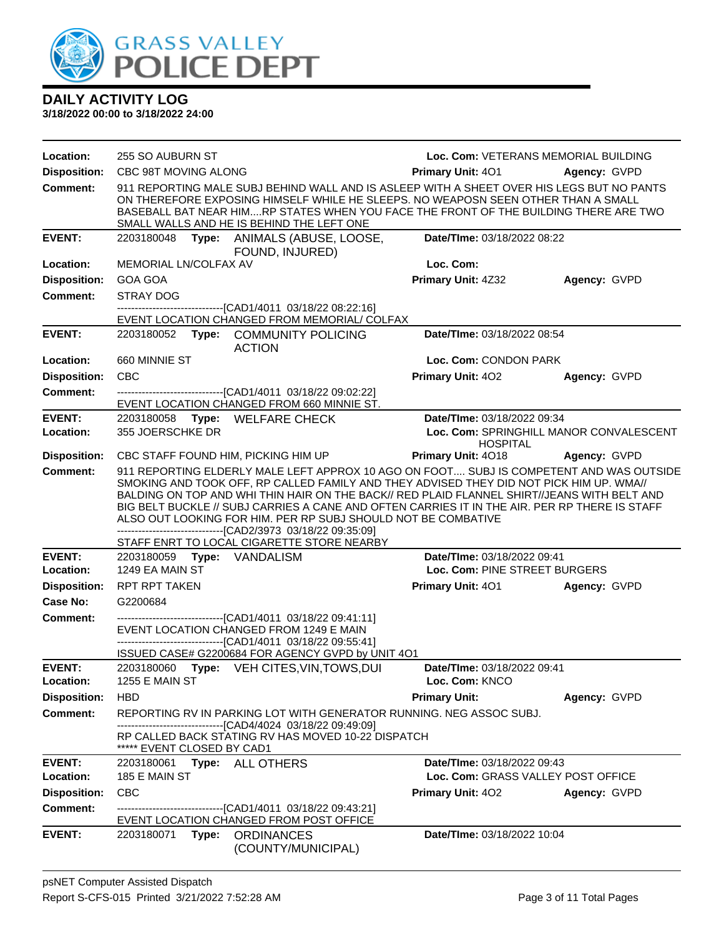

| Location:           | 255 SO AUBURN ST                                                                                                                                                                                                             |                                         | Loc. Com: VETERANS MEMORIAL BUILDING                                                                                                                                                                                                                                                                                                                                               |              |
|---------------------|------------------------------------------------------------------------------------------------------------------------------------------------------------------------------------------------------------------------------|-----------------------------------------|------------------------------------------------------------------------------------------------------------------------------------------------------------------------------------------------------------------------------------------------------------------------------------------------------------------------------------------------------------------------------------|--------------|
| <b>Disposition:</b> | CBC 98T MOVING ALONG                                                                                                                                                                                                         |                                         | <b>Primary Unit: 401</b>                                                                                                                                                                                                                                                                                                                                                           | Agency: GVPD |
| <b>Comment:</b>     | SMALL WALLS AND HE IS BEHIND THE LEFT ONE                                                                                                                                                                                    |                                         | 911 REPORTING MALE SUBJ BEHIND WALL AND IS ASLEEP WITH A SHEET OVER HIS LEGS BUT NO PANTS<br>ON THEREFORE EXPOSING HIMSELF WHILE HE SLEEPS. NO WEAPOSN SEEN OTHER THAN A SMALL<br>BASEBALL BAT NEAR HIMRP STATES WHEN YOU FACE THE FRONT OF THE BUILDING THERE ARE TWO                                                                                                             |              |
| <b>EVENT:</b>       | 2203180048 Type: ANIMALS (ABUSE, LOOSE,                                                                                                                                                                                      | FOUND, INJURED)                         | Date/TIme: 03/18/2022 08:22                                                                                                                                                                                                                                                                                                                                                        |              |
| Location:           | MEMORIAL LN/COLFAX AV                                                                                                                                                                                                        |                                         | Loc. Com:                                                                                                                                                                                                                                                                                                                                                                          |              |
| <b>Disposition:</b> | <b>GOA GOA</b>                                                                                                                                                                                                               |                                         | <b>Primary Unit: 4Z32</b>                                                                                                                                                                                                                                                                                                                                                          | Agency: GVPD |
| <b>Comment:</b>     | <b>STRAY DOG</b>                                                                                                                                                                                                             |                                         |                                                                                                                                                                                                                                                                                                                                                                                    |              |
|                     | -----------------------[CAD1/4011_03/18/22_08:22:16]<br>EVENT LOCATION CHANGED FROM MEMORIAL/ COLFAX                                                                                                                         |                                         |                                                                                                                                                                                                                                                                                                                                                                                    |              |
| <b>EVENT:</b>       | 2203180052<br><b>ACTION</b>                                                                                                                                                                                                  | Type: COMMUNITY POLICING                | Date/TIme: 03/18/2022 08:54                                                                                                                                                                                                                                                                                                                                                        |              |
| Location:           | 660 MINNIE ST                                                                                                                                                                                                                |                                         | Loc. Com: CONDON PARK                                                                                                                                                                                                                                                                                                                                                              |              |
| <b>Disposition:</b> | <b>CBC</b>                                                                                                                                                                                                                   |                                         | <b>Primary Unit: 402</b>                                                                                                                                                                                                                                                                                                                                                           | Agency: GVPD |
| Comment:            | ----------------------------------[CAD1/4011 03/18/22 09:02:22]<br>EVENT LOCATION CHANGED FROM 660 MINNIE ST.                                                                                                                |                                         |                                                                                                                                                                                                                                                                                                                                                                                    |              |
| <b>EVENT:</b>       | 2203180058 Type: WELFARE CHECK                                                                                                                                                                                               |                                         | Date/TIme: 03/18/2022 09:34                                                                                                                                                                                                                                                                                                                                                        |              |
| Location:           | 355 JOERSCHKE DR                                                                                                                                                                                                             |                                         | Loc. Com: SPRINGHILL MANOR CONVALESCENT                                                                                                                                                                                                                                                                                                                                            |              |
| <b>Disposition:</b> | CBC STAFF FOUND HIM, PICKING HIM UP                                                                                                                                                                                          |                                         | <b>HOSPITAL</b><br>Primary Unit: 4018                                                                                                                                                                                                                                                                                                                                              | Agency: GVPD |
| <b>Comment:</b>     | ALSO OUT LOOKING FOR HIM. PER RP SUBJ SHOULD NOT BE COMBATIVE<br>--------------------------------[CAD2/3973 03/18/22 09:35:09]<br>STAFF ENRT TO LOCAL CIGARETTE STORE NEARBY                                                 |                                         | 911 REPORTING ELDERLY MALE LEFT APPROX 10 AGO ON FOOT SUBJ IS COMPETENT AND WAS OUTSIDE<br>SMOKING AND TOOK OFF, RP CALLED FAMILY AND THEY ADVISED THEY DID NOT PICK HIM UP. WMA//<br>BALDING ON TOP AND WHI THIN HAIR ON THE BACK// RED PLAID FLANNEL SHIRT//JEANS WITH BELT AND<br>BIG BELT BUCKLE // SUBJ CARRIES A CANE AND OFTEN CARRIES IT IN THE AIR. PER RP THERE IS STAFF |              |
| <b>EVENT:</b>       |                                                                                                                                                                                                                              |                                         | Date/TIme: 03/18/2022 09:41                                                                                                                                                                                                                                                                                                                                                        |              |
| Location:           | 1249 EA MAIN ST                                                                                                                                                                                                              |                                         | Loc. Com: PINE STREET BURGERS                                                                                                                                                                                                                                                                                                                                                      |              |
| <b>Disposition:</b> | RPT RPT TAKEN                                                                                                                                                                                                                |                                         | Primary Unit: 401 Agency: GVPD                                                                                                                                                                                                                                                                                                                                                     |              |
| Case No:            | G2200684                                                                                                                                                                                                                     |                                         |                                                                                                                                                                                                                                                                                                                                                                                    |              |
| <b>Comment:</b>     | -------------------------------[CAD1/4011 03/18/22 09:41:11]<br>EVENT LOCATION CHANGED FROM 1249 E MAIN<br>-------------------------------[CAD1/4011 03/18/22 09:55:41]<br>ISSUED CASE# G2200684 FOR AGENCY GVPD by UNIT 4O1 |                                         |                                                                                                                                                                                                                                                                                                                                                                                    |              |
| <b>EVENT:</b>       | 2203180060 Type: VEH CITES, VIN, TOWS, DUI                                                                                                                                                                                   |                                         | Date/TIme: 03/18/2022 09:41                                                                                                                                                                                                                                                                                                                                                        |              |
| Location:           | <b>1255 E MAIN ST</b>                                                                                                                                                                                                        |                                         | Loc. Com: KNCO                                                                                                                                                                                                                                                                                                                                                                     |              |
| <b>Disposition:</b> | <b>HBD</b>                                                                                                                                                                                                                   |                                         | <b>Primary Unit:</b>                                                                                                                                                                                                                                                                                                                                                               | Agency: GVPD |
| Comment:            | REPORTING RV IN PARKING LOT WITH GENERATOR RUNNING. NEG ASSOC SUBJ.<br>--------------------------[CAD4/4024_03/18/22 09:49:09]                                                                                               |                                         |                                                                                                                                                                                                                                                                                                                                                                                    |              |
|                     | RP CALLED BACK STATING RV HAS MOVED 10-22 DISPATCH<br>***** EVENT CLOSED BY CAD1                                                                                                                                             |                                         |                                                                                                                                                                                                                                                                                                                                                                                    |              |
| <b>EVENT:</b>       | 2203180061<br>Type: ALL OTHERS                                                                                                                                                                                               |                                         | Date/TIme: 03/18/2022 09:43                                                                                                                                                                                                                                                                                                                                                        |              |
| Location:           | 185 E MAIN ST                                                                                                                                                                                                                |                                         | Loc. Com: GRASS VALLEY POST OFFICE                                                                                                                                                                                                                                                                                                                                                 |              |
| <b>Disposition:</b> | <b>CBC</b>                                                                                                                                                                                                                   |                                         | <b>Primary Unit: 402</b>                                                                                                                                                                                                                                                                                                                                                           | Agency: GVPD |
| <b>Comment:</b>     | ------------------------------[CAD1/4011_03/18/22 09:43:21]<br>EVENT LOCATION CHANGED FROM POST OFFICE                                                                                                                       |                                         |                                                                                                                                                                                                                                                                                                                                                                                    |              |
| <b>EVENT:</b>       | 2203180071<br>Type:                                                                                                                                                                                                          | <b>ORDINANCES</b><br>(COUNTY/MUNICIPAL) | Date/TIme: 03/18/2022 10:04                                                                                                                                                                                                                                                                                                                                                        |              |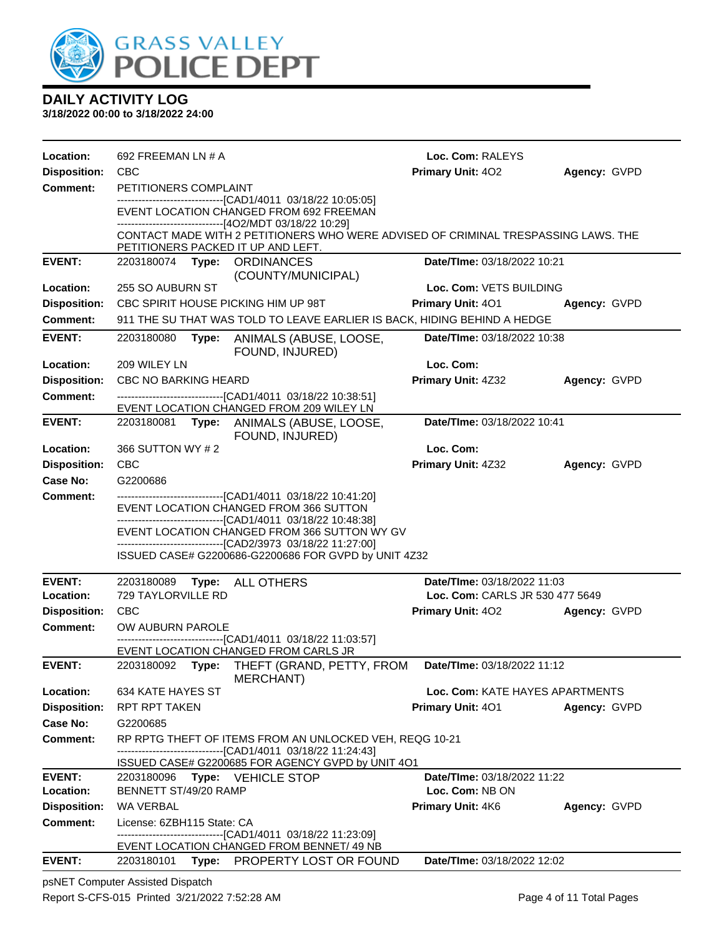

**3/18/2022 00:00 to 3/18/2022 24:00**

| Location:           | 692 FREEMAN LN # A                                                                                                                                                            | Loc. Com: RALEYS                   |              |
|---------------------|-------------------------------------------------------------------------------------------------------------------------------------------------------------------------------|------------------------------------|--------------|
| <b>Disposition:</b> | <b>CBC</b>                                                                                                                                                                    | Primary Unit: 402                  | Agency: GVPD |
| <b>Comment:</b>     | PETITIONERS COMPLAINT                                                                                                                                                         |                                    |              |
|                     | -------------------------------[CAD1/4011 03/18/22 10:05:05]<br>EVENT LOCATION CHANGED FROM 692 FREEMAN<br>------------------------------[4O2/MDT 03/18/22 10:29]             |                                    |              |
|                     | CONTACT MADE WITH 2 PETITIONERS WHO WERE ADVISED OF CRIMINAL TRESPASSING LAWS. THE<br>PETITIONERS PACKED IT UP AND LEFT.                                                      |                                    |              |
| <b>EVENT:</b>       | 2203180074 Type: ORDINANCES<br>(COUNTY/MUNICIPAL)                                                                                                                             | Date/TIme: 03/18/2022 10:21        |              |
| Location:           | 255 SO AUBURN ST                                                                                                                                                              | Loc. Com: VETS BUILDING            |              |
| <b>Disposition:</b> | CBC SPIRIT HOUSE PICKING HIM UP 98T                                                                                                                                           | <b>Primary Unit: 401</b>           | Agency: GVPD |
| <b>Comment:</b>     | 911 THE SU THAT WAS TOLD TO LEAVE EARLIER IS BACK, HIDING BEHIND A HEDGE                                                                                                      |                                    |              |
| <b>EVENT:</b>       | 2203180080<br>Type:<br>ANIMALS (ABUSE, LOOSE,<br>FOUND, INJURED)                                                                                                              | <b>Date/Time: 03/18/2022 10:38</b> |              |
| Location:           | 209 WILEY LN                                                                                                                                                                  | Loc. Com:                          |              |
| <b>Disposition:</b> | <b>CBC NO BARKING HEARD</b>                                                                                                                                                   | Primary Unit: 4Z32                 | Agency: GVPD |
| <b>Comment:</b>     | --------------------------------[CAD1/4011 03/18/22 10:38:51]<br>EVENT LOCATION CHANGED FROM 209 WILEY LN                                                                     |                                    |              |
| <b>EVENT:</b>       | 2203180081 Type: ANIMALS (ABUSE, LOOSE,<br>FOUND, INJURED)                                                                                                                    | Date/TIme: 03/18/2022 10:41        |              |
| Location:           | 366 SUTTON WY # 2                                                                                                                                                             | Loc. Com:                          |              |
| <b>Disposition:</b> | <b>CBC</b>                                                                                                                                                                    | Primary Unit: 4Z32                 | Agency: GVPD |
| Case No:            | G2200686                                                                                                                                                                      |                                    |              |
| <b>Comment:</b>     | -------------------------------[CAD1/4011 03/18/22 10:41:20]<br>EVENT LOCATION CHANGED FROM 366 SUTTON                                                                        |                                    |              |
|                     | -------------------------------[CAD1/4011 03/18/22 10:48:38]<br>EVENT LOCATION CHANGED FROM 366 SUTTON WY GV<br>--------------------------------[CAD2/3973 03/18/22 11:27:00] |                                    |              |
|                     | ISSUED CASE# G2200686-G2200686 FOR GVPD by UNIT 4Z32                                                                                                                          |                                    |              |
| <b>EVENT:</b>       | 2203180089<br>Type: ALL OTHERS                                                                                                                                                | Date/TIme: 03/18/2022 11:03        |              |
| Location:           | 729 TAYLORVILLE RD                                                                                                                                                            | Loc. Com: CARLS JR 530 477 5649    |              |
| <b>Disposition:</b> | <b>CBC</b>                                                                                                                                                                    | <b>Primary Unit: 402</b>           | Agency: GVPD |
| <b>Comment:</b>     | OW AUBURN PAROLE                                                                                                                                                              |                                    |              |
|                     | -------------------------------[CAD1/4011 03/18/22 11:03:57]<br>EVENT LOCATION CHANGED FROM CARLS JR                                                                          |                                    |              |
| <b>EVENT:</b>       | 2203180092<br>Type: THEFT (GRAND, PETTY, FROM<br>MERCHANT)                                                                                                                    | Date/TIme: 03/18/2022 11:12        |              |
| Location:           | 634 KATE HAYES ST                                                                                                                                                             | Loc. Com: KATE HAYES APARTMENTS    |              |
| <b>Disposition:</b> | <b>RPT RPT TAKEN</b>                                                                                                                                                          | <b>Primary Unit: 401</b>           | Agency: GVPD |
| Case No:            | G2200685                                                                                                                                                                      |                                    |              |
| <b>Comment:</b>     | RP RPTG THEFT OF ITEMS FROM AN UNLOCKED VEH, REQG 10-21                                                                                                                       |                                    |              |
|                     | ----------------------[CAD1/4011_03/18/22 11:24:43]<br>ISSUED CASE# G2200685 FOR AGENCY GVPD by UNIT 4O1                                                                      |                                    |              |
| <b>EVENT:</b>       | 2203180096<br><b>Type:</b> VEHICLE STOP                                                                                                                                       | Date/TIme: 03/18/2022 11:22        |              |
| Location:           | BENNETT ST/49/20 RAMP                                                                                                                                                         | Loc. Com: NB ON                    |              |
| <b>Disposition:</b> | WA VERBAL                                                                                                                                                                     | <b>Primary Unit: 4K6</b>           | Agency: GVPD |
| Comment:            | License: 6ZBH115 State: CA<br>----------------------[CAD1/4011_03/18/22 11:23:09]                                                                                             |                                    |              |
|                     | EVENT LOCATION CHANGED FROM BENNET/49 NB                                                                                                                                      |                                    |              |
| <b>EVENT:</b>       | 2203180101<br>Type:<br>PROPERTY LOST OR FOUND                                                                                                                                 | Date/TIme: 03/18/2022 12:02        |              |

psNET Computer Assisted Dispatch Report S-CFS-015 Printed 3/21/2022 7:52:28 AM Page 4 of 11 Total Pages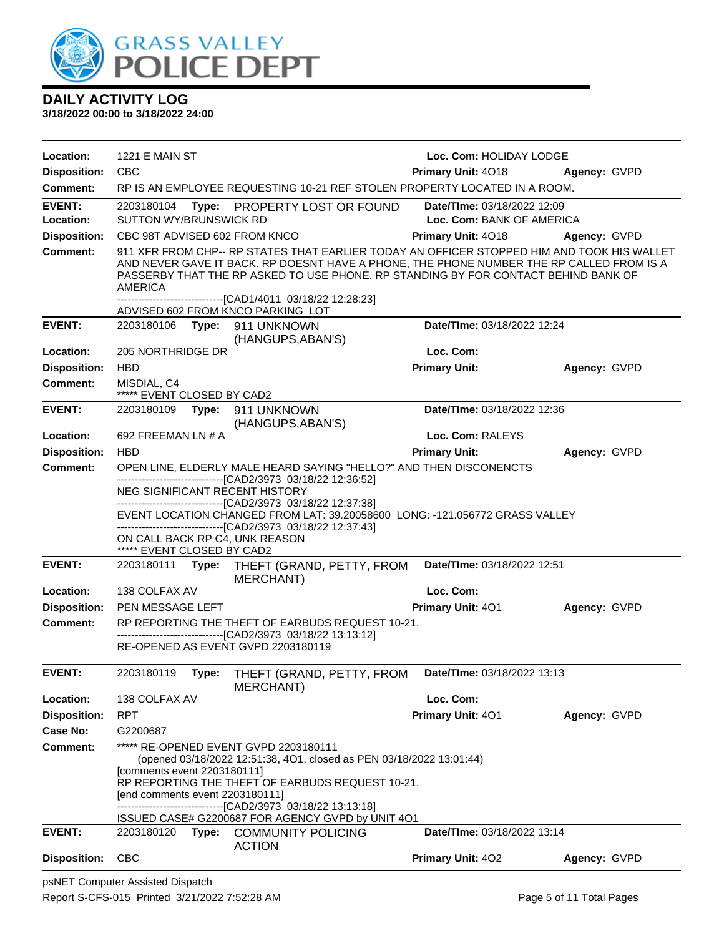

| Location:           | <b>1221 E MAIN ST</b>                                                                                                           |                                                                                                                                                                                                                                                                              | Loc. Com: HOLIDAY LODGE            |              |
|---------------------|---------------------------------------------------------------------------------------------------------------------------------|------------------------------------------------------------------------------------------------------------------------------------------------------------------------------------------------------------------------------------------------------------------------------|------------------------------------|--------------|
| <b>Disposition:</b> | CBC                                                                                                                             |                                                                                                                                                                                                                                                                              | <b>Primary Unit: 4018</b>          | Agency: GVPD |
| <b>Comment:</b>     |                                                                                                                                 | RP IS AN EMPLOYEE REQUESTING 10-21 REF STOLEN PROPERTY LOCATED IN A ROOM.                                                                                                                                                                                                    |                                    |              |
| <b>EVENT:</b>       | 2203180104                                                                                                                      | Type: PROPERTY LOST OR FOUND                                                                                                                                                                                                                                                 | Date/TIme: 03/18/2022 12:09        |              |
| Location:           | SUTTON WY/BRUNSWICK RD                                                                                                          |                                                                                                                                                                                                                                                                              | Loc. Com: BANK OF AMERICA          |              |
| <b>Disposition:</b> | CBC 98T ADVISED 602 FROM KNCO                                                                                                   |                                                                                                                                                                                                                                                                              | <b>Primary Unit: 4018</b>          | Agency: GVPD |
| <b>Comment:</b>     | <b>AMERICA</b><br>-------------------------------[CAD1/4011 03/18/22 12:28:23]                                                  | 911 XFR FROM CHP-- RP STATES THAT EARLIER TODAY AN OFFICER STOPPED HIM AND TOOK HIS WALLET<br>AND NEVER GAVE IT BACK. RP DOESNT HAVE A PHONE, THE PHONE NUMBER THE RP CALLED FROM IS A<br>PASSERBY THAT THE RP ASKED TO USE PHONE. RP STANDING BY FOR CONTACT BEHIND BANK OF |                                    |              |
|                     | ADVISED 602 FROM KNCO PARKING LOT                                                                                               |                                                                                                                                                                                                                                                                              |                                    |              |
| <b>EVENT:</b>       | 2203180106    Type: 911    UNKNOWN                                                                                              | (HANGUPS, ABAN'S)                                                                                                                                                                                                                                                            | Date/TIme: 03/18/2022 12:24        |              |
| Location:           | 205 NORTHRIDGE DR                                                                                                               |                                                                                                                                                                                                                                                                              | Loc. Com:                          |              |
| <b>Disposition:</b> | <b>HBD</b>                                                                                                                      |                                                                                                                                                                                                                                                                              | <b>Primary Unit:</b>               | Agency: GVPD |
| Comment:            | MISDIAL, C4<br>***** EVENT CLOSED BY CAD2                                                                                       |                                                                                                                                                                                                                                                                              |                                    |              |
| <b>EVENT:</b>       | 2203180109    Type: 911    UNKNOWN                                                                                              | (HANGUPS, ABAN'S)                                                                                                                                                                                                                                                            | Date/TIme: 03/18/2022 12:36        |              |
| Location:           | 692 FREEMAN LN # A                                                                                                              |                                                                                                                                                                                                                                                                              | Loc. Com: RALEYS                   |              |
| <b>Disposition:</b> | <b>HBD</b>                                                                                                                      |                                                                                                                                                                                                                                                                              | <b>Primary Unit:</b>               | Agency: GVPD |
| <b>Comment:</b>     | --------------------------------[CAD2/3973 03/18/22 12:36:52]                                                                   | OPEN LINE, ELDERLY MALE HEARD SAYING "HELLO?" AND THEN DISCONENCTS                                                                                                                                                                                                           |                                    |              |
|                     | NEG SIGNIFICANT RECENT HISTORY<br>-------------------------------[CAD2/3973_03/18/22 12:37:38]                                  |                                                                                                                                                                                                                                                                              |                                    |              |
|                     |                                                                                                                                 | EVENT LOCATION CHANGED FROM LAT: 39.20058600 LONG: -121.056772 GRASS VALLEY                                                                                                                                                                                                  |                                    |              |
|                     | --------------------------------[CAD2/3973 03/18/22 12:37:43]<br>ON CALL BACK RP C4, UNK REASON                                 |                                                                                                                                                                                                                                                                              |                                    |              |
|                     | ***** EVENT CLOSED BY CAD2                                                                                                      |                                                                                                                                                                                                                                                                              |                                    |              |
| <b>EVENT:</b>       | 2203180111<br>Type:                                                                                                             | THEFT (GRAND, PETTY, FROM<br>MERCHANT)                                                                                                                                                                                                                                       | Date/TIme: 03/18/2022 12:51        |              |
| Location:           | 138 COLFAX AV                                                                                                                   |                                                                                                                                                                                                                                                                              | Loc. Com:                          |              |
| <b>Disposition:</b> | PEN MESSAGE LEFT                                                                                                                |                                                                                                                                                                                                                                                                              | Primary Unit: 401                  | Agency: GVPD |
| <b>Comment:</b>     |                                                                                                                                 | RP REPORTING THE THEFT OF EARBUDS REQUEST 10-21.<br>----------------------[CAD2/3973_03/18/22 13:13:12]                                                                                                                                                                      |                                    |              |
|                     | RE-OPENED AS EVENT GVPD 2203180119                                                                                              |                                                                                                                                                                                                                                                                              |                                    |              |
| <b>EVENT:</b>       | 2203180119<br>Type:                                                                                                             | THEFT (GRAND, PETTY, FROM  Date/Time: 03/18/2022 13:13<br><b>MERCHANT)</b>                                                                                                                                                                                                   |                                    |              |
| Location:           | 138 COLFAX AV                                                                                                                   |                                                                                                                                                                                                                                                                              | Loc. Com:                          |              |
| <b>Disposition:</b> | <b>RPT</b>                                                                                                                      |                                                                                                                                                                                                                                                                              | Primary Unit: 401                  | Agency: GVPD |
| Case No:            | G2200687                                                                                                                        |                                                                                                                                                                                                                                                                              |                                    |              |
| <b>Comment:</b>     | ***** RE-OPENED EVENT GVPD 2203180111                                                                                           |                                                                                                                                                                                                                                                                              |                                    |              |
|                     | [comments event 2203180111]<br>[end comments event 2203180111]<br>--------------------------------[CAD2/3973 03/18/22 13:13:18] | (opened 03/18/2022 12:51:38, 4O1, closed as PEN 03/18/2022 13:01:44)<br>RP REPORTING THE THEFT OF EARBUDS REQUEST 10-21.<br>ISSUED CASE# G2200687 FOR AGENCY GVPD by UNIT 4O1                                                                                                |                                    |              |
| <b>EVENT:</b>       | 2203180120                                                                                                                      | Type: COMMUNITY POLICING<br><b>ACTION</b>                                                                                                                                                                                                                                    | <b>Date/Time: 03/18/2022 13:14</b> |              |
| <b>Disposition:</b> | <b>CBC</b>                                                                                                                      |                                                                                                                                                                                                                                                                              | Primary Unit: 402                  | Agency: GVPD |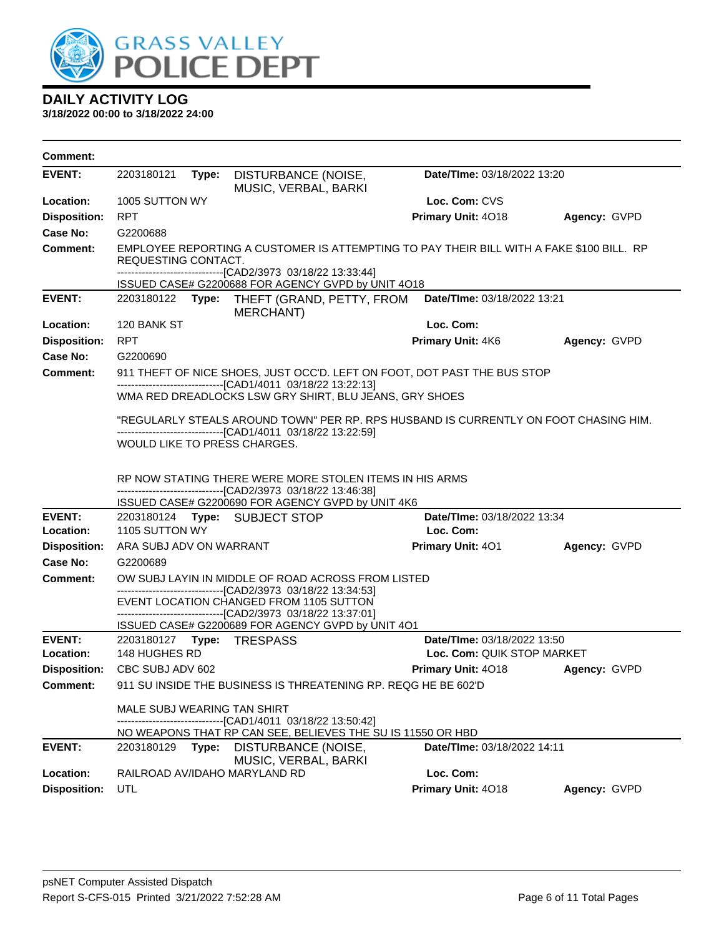

| <b>Comment:</b>     |                               |       |                                                                                                                                                                               |                             |              |
|---------------------|-------------------------------|-------|-------------------------------------------------------------------------------------------------------------------------------------------------------------------------------|-----------------------------|--------------|
| <b>EVENT:</b>       | 2203180121                    | Type: | DISTURBANCE (NOISE,<br>MUSIC, VERBAL, BARKI                                                                                                                                   | Date/TIme: 03/18/2022 13:20 |              |
| Location:           | 1005 SUTTON WY                |       |                                                                                                                                                                               | Loc. Com: CVS               |              |
| <b>Disposition:</b> | <b>RPT</b>                    |       |                                                                                                                                                                               | Primary Unit: 4018          | Agency: GVPD |
| Case No:            | G2200688                      |       |                                                                                                                                                                               |                             |              |
| Comment:            | REQUESTING CONTACT.           |       | EMPLOYEE REPORTING A CUSTOMER IS ATTEMPTING TO PAY THEIR BILL WITH A FAKE \$100 BILL. RP<br>-------------------------------[CAD2/3973 03/18/22 13:33:44]                      |                             |              |
|                     |                               |       | ISSUED CASE# G2200688 FOR AGENCY GVPD by UNIT 4O18                                                                                                                            |                             |              |
| <b>EVENT:</b>       |                               |       | 2203180122 Type: THEFT (GRAND, PETTY, FROM<br><b>MERCHANT)</b>                                                                                                                | Date/TIme: 03/18/2022 13:21 |              |
| Location:           | 120 BANK ST                   |       |                                                                                                                                                                               | Loc. Com:                   |              |
| <b>Disposition:</b> | <b>RPT</b>                    |       |                                                                                                                                                                               | Primary Unit: 4K6           | Agency: GVPD |
| Case No:            | G2200690                      |       |                                                                                                                                                                               |                             |              |
| Comment:            |                               |       | 911 THEFT OF NICE SHOES, JUST OCC'D. LEFT ON FOOT, DOT PAST THE BUS STOP                                                                                                      |                             |              |
|                     |                               |       | --------------------------------[CAD1/4011 03/18/22 13:22:13]<br>WMA RED DREADLOCKS LSW GRY SHIRT, BLU JEANS, GRY SHOES                                                       |                             |              |
|                     |                               |       | "REGULARLY STEALS AROUND TOWN" PER RP. RPS HUSBAND IS CURRENTLY ON FOOT CHASING HIM.<br>-------------------------------[CAD1/4011 03/18/22 13:22:59]                          |                             |              |
|                     |                               |       | WOULD LIKE TO PRESS CHARGES.                                                                                                                                                  |                             |              |
|                     |                               |       | RP NOW STATING THERE WERE MORE STOLEN ITEMS IN HIS ARMS<br>--------------------------------[CAD2/3973 03/18/22 13:46:38]<br>ISSUED CASE# G2200690 FOR AGENCY GVPD by UNIT 4K6 |                             |              |
| <b>EVENT:</b>       |                               |       | 2203180124 Type: SUBJECT STOP                                                                                                                                                 | Date/TIme: 03/18/2022 13:34 |              |
| Location:           | 1105 SUTTON WY                |       |                                                                                                                                                                               | Loc. Com:                   |              |
| <b>Disposition:</b> | ARA SUBJ ADV ON WARRANT       |       |                                                                                                                                                                               | <b>Primary Unit: 401</b>    | Agency: GVPD |
| Case No:            | G2200689                      |       |                                                                                                                                                                               |                             |              |
| <b>Comment:</b>     |                               |       | OW SUBJ LAYIN IN MIDDLE OF ROAD ACROSS FROM LISTED<br>--------------------------------[CAD2/3973 03/18/22 13:34:53]                                                           |                             |              |
|                     |                               |       | EVENT LOCATION CHANGED FROM 1105 SUTTON                                                                                                                                       |                             |              |
|                     |                               |       | -------------------------------[CAD2/3973 03/18/22 13:37:01]                                                                                                                  |                             |              |
| <b>EVENT:</b>       |                               |       | ISSUED CASE# G2200689 FOR AGENCY GVPD by UNIT 401                                                                                                                             | Date/TIme: 03/18/2022 13:50 |              |
| Location:           | 148 HUGHES RD                 |       |                                                                                                                                                                               | Loc. Com: QUIK STOP MARKET  |              |
|                     | Disposition: CBC SUBJ ADV 602 |       |                                                                                                                                                                               | Primary Unit: 4018          | Agency: GVPD |
| <b>Comment:</b>     |                               |       | 911 SU INSIDE THE BUSINESS IS THREATENING RP. REQG HE BE 602'D                                                                                                                |                             |              |
|                     |                               |       |                                                                                                                                                                               |                             |              |
|                     | MALE SUBJ WEARING TAN SHIRT   |       | -------[CAD1/4011 03/18/22 13:50:42]                                                                                                                                          |                             |              |
|                     |                               |       | NO WEAPONS THAT RP CAN SEE, BELIEVES THE SUIS 11550 OR HBD                                                                                                                    |                             |              |
| <b>EVENT:</b>       | 2203180129                    | Type: | DISTURBANCE (NOISE,<br>MUSIC, VERBAL, BARKI                                                                                                                                   | Date/TIme: 03/18/2022 14:11 |              |
| Location:           |                               |       | RAILROAD AV/IDAHO MARYLAND RD                                                                                                                                                 | Loc. Com:                   |              |
| <b>Disposition:</b> | <b>UTL</b>                    |       |                                                                                                                                                                               | Primary Unit: 4018          | Agency: GVPD |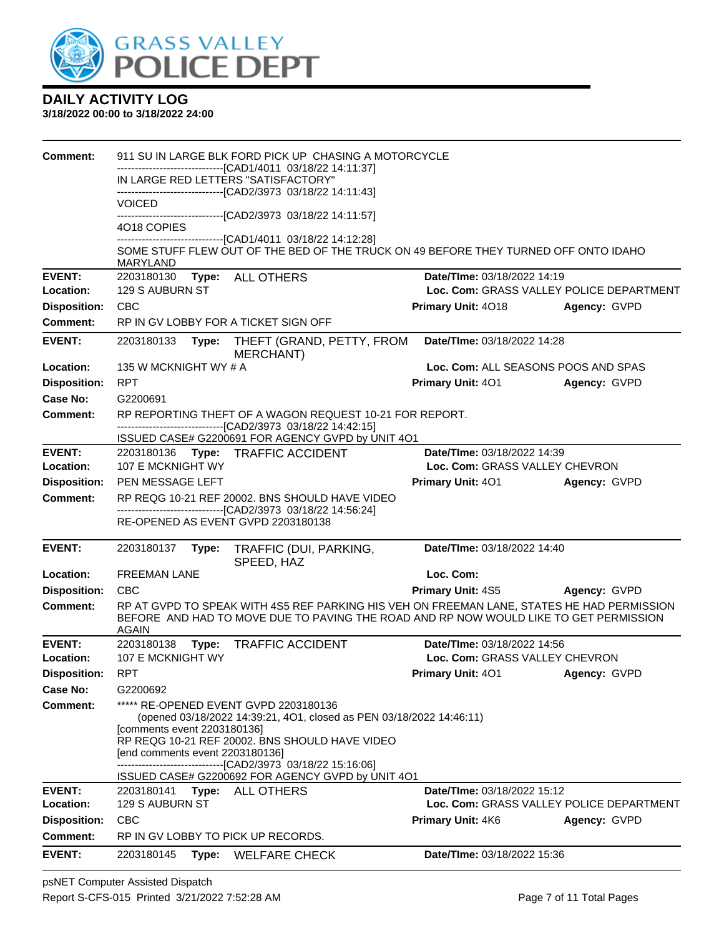

#### **3/18/2022 00:00 to 3/18/2022 24:00**

| Comment:                               |                                                | 911 SU IN LARGE BLK FORD PICK UP CHASING A MOTORCYCLE                                                                                                                               |                                                                                |              |
|----------------------------------------|------------------------------------------------|-------------------------------------------------------------------------------------------------------------------------------------------------------------------------------------|--------------------------------------------------------------------------------|--------------|
|                                        | IN LARGE RED LETTERS "SATISFACTORY"            | ---------------------------[CAD1/4011 03/18/22 14:11:37]                                                                                                                            |                                                                                |              |
|                                        |                                                | ------------------------------[CAD2/3973 03/18/22 14:11:43]                                                                                                                         |                                                                                |              |
|                                        | <b>VOICED</b>                                  | ---------------------------------[CAD2/3973 03/18/22 14:11:57]                                                                                                                      |                                                                                |              |
|                                        | 4018 COPIES                                    |                                                                                                                                                                                     |                                                                                |              |
|                                        | <b>MARYLAND</b>                                | -------------------------------[CAD1/4011 03/18/22 14:12:28]<br>SOME STUFF FLEW OUT OF THE BED OF THE TRUCK ON 49 BEFORE THEY TURNED OFF ONTO IDAHO                                 |                                                                                |              |
| <b>EVENT:</b>                          | 2203180130                                     | Type: ALL OTHERS                                                                                                                                                                    | Date/TIme: 03/18/2022 14:19                                                    |              |
| Location:                              | 129 S AUBURN ST<br><b>CBC</b>                  |                                                                                                                                                                                     | Loc. Com: GRASS VALLEY POLICE DEPARTMENT                                       |              |
| <b>Disposition:</b><br><b>Comment:</b> | RP IN GV LOBBY FOR A TICKET SIGN OFF           |                                                                                                                                                                                     | Primary Unit: 4018                                                             | Agency: GVPD |
|                                        |                                                |                                                                                                                                                                                     |                                                                                |              |
| <b>EVENT:</b>                          | 2203180133<br>Type:                            | THEFT (GRAND, PETTY, FROM<br>MERCHANT)                                                                                                                                              | Date/TIme: 03/18/2022 14:28                                                    |              |
| Location:                              | 135 W MCKNIGHT WY # A                          |                                                                                                                                                                                     | Loc. Com: ALL SEASONS POOS AND SPAS                                            |              |
| <b>Disposition:</b>                    | <b>RPT</b>                                     |                                                                                                                                                                                     | Primary Unit: 401                                                              | Agency: GVPD |
| Case No:                               | G2200691                                       |                                                                                                                                                                                     |                                                                                |              |
| Comment:                               |                                                | RP REPORTING THEFT OF A WAGON REQUEST 10-21 FOR REPORT.<br>-------------------------------[CAD2/3973 03/18/22 14:42:15]                                                             |                                                                                |              |
|                                        |                                                | ISSUED CASE# G2200691 FOR AGENCY GVPD by UNIT 4O1                                                                                                                                   |                                                                                |              |
| <b>EVENT:</b>                          |                                                | 2203180136 Type: TRAFFIC ACCIDENT                                                                                                                                                   | Date/TIme: 03/18/2022 14:39                                                    |              |
| Location:                              | 107 E MCKNIGHT WY                              |                                                                                                                                                                                     | Loc. Com: GRASS VALLEY CHEVRON                                                 |              |
| <b>Disposition:</b>                    | PEN MESSAGE LEFT                               |                                                                                                                                                                                     | <b>Primary Unit: 401</b>                                                       | Agency: GVPD |
| <b>Comment:</b>                        |                                                | RP REQG 10-21 REF 20002. BNS SHOULD HAVE VIDEO<br>-------------------------------[CAD2/3973 03/18/22 14:56:24]                                                                      |                                                                                |              |
|                                        | RE-OPENED AS EVENT GVPD 2203180138             |                                                                                                                                                                                     |                                                                                |              |
| <b>EVENT:</b>                          | 2203180137<br>Type:                            | TRAFFIC (DUI, PARKING,                                                                                                                                                              | Date/TIme: 03/18/2022 14:40                                                    |              |
|                                        |                                                | SPEED, HAZ                                                                                                                                                                          |                                                                                |              |
| Location:                              | <b>FREEMAN LANE</b>                            |                                                                                                                                                                                     | Loc. Com:                                                                      |              |
| <b>Disposition:</b>                    | <b>CBC</b>                                     |                                                                                                                                                                                     | <b>Primary Unit: 4S5</b>                                                       | Agency: GVPD |
| Comment:                               | <b>AGAIN</b>                                   | RP AT GVPD TO SPEAK WITH 4S5 REF PARKING HIS VEH ON FREEMAN LANE, STATES HE HAD PERMISSION<br>BEFORE AND HAD TO MOVE DUE TO PAVING THE ROAD AND RP NOW WOULD LIKE TO GET PERMISSION |                                                                                |              |
| <b>EVENT:</b>                          | 2203180138<br>Type:                            | <b>TRAFFIC ACCIDENT</b>                                                                                                                                                             | Date/TIme: 03/18/2022 14:56                                                    |              |
| Location:                              | 107 E MCKNIGHT WY                              |                                                                                                                                                                                     | Loc. Com: GRASS VALLEY CHEVRON                                                 |              |
| <b>Disposition:</b>                    | <b>RPT</b>                                     |                                                                                                                                                                                     | <b>Primary Unit: 401</b>                                                       | Agency: GVPD |
| Case No:                               | G2200692                                       |                                                                                                                                                                                     |                                                                                |              |
| Comment:                               |                                                | ***** RE-OPENED EVENT GVPD 2203180136<br>(opened 03/18/2022 14:39:21, 4O1, closed as PEN 03/18/2022 14:46:11)                                                                       |                                                                                |              |
|                                        | [comments event 2203180136]                    |                                                                                                                                                                                     |                                                                                |              |
|                                        | [end comments event 2203180136]                | RP REQG 10-21 REF 20002. BNS SHOULD HAVE VIDEO                                                                                                                                      |                                                                                |              |
|                                        |                                                | -------------------------------[CAD2/3973 03/18/22 15:16:06]                                                                                                                        |                                                                                |              |
|                                        |                                                | ISSUED CASE# G2200692 FOR AGENCY GVPD by UNIT 401                                                                                                                                   |                                                                                |              |
| <b>EVENT:</b><br>Location:             | 2203180141 Type: ALL OTHERS<br>129 S AUBURN ST |                                                                                                                                                                                     | <b>Date/Time: 03/18/2022 15:12</b><br>Loc. Com: GRASS VALLEY POLICE DEPARTMENT |              |
| <b>Disposition:</b>                    | CBC                                            |                                                                                                                                                                                     | <b>Primary Unit: 4K6</b>                                                       | Agency: GVPD |
| <b>Comment:</b>                        | RP IN GV LOBBY TO PICK UP RECORDS.             |                                                                                                                                                                                     |                                                                                |              |
| <b>EVENT:</b>                          | 2203180145                                     | Type: WELFARE CHECK                                                                                                                                                                 | Date/TIme: 03/18/2022 15:36                                                    |              |
|                                        |                                                |                                                                                                                                                                                     |                                                                                |              |

psNET Computer Assisted Dispatch Report S-CFS-015 Printed 3/21/2022 7:52:28 AM Page 7 of 11 Total Pages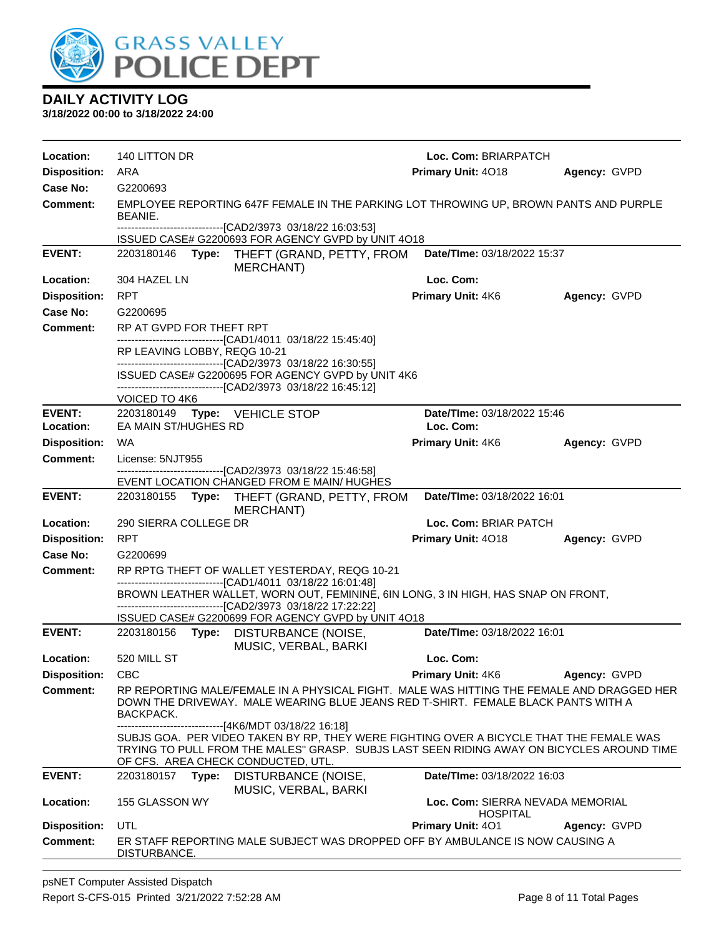

| Location:                  | 140 LITTON DR                                         |                                                                                                                                                                                                                                                | Loc. Com: BRIARPATCH                                |                     |
|----------------------------|-------------------------------------------------------|------------------------------------------------------------------------------------------------------------------------------------------------------------------------------------------------------------------------------------------------|-----------------------------------------------------|---------------------|
| <b>Disposition:</b>        | ARA                                                   |                                                                                                                                                                                                                                                | Primary Unit: 4018                                  | Agency: GVPD        |
| Case No:                   | G2200693                                              |                                                                                                                                                                                                                                                |                                                     |                     |
| Comment:                   | BEANIE.                                               | EMPLOYEE REPORTING 647F FEMALE IN THE PARKING LOT THROWING UP, BROWN PANTS AND PURPLE                                                                                                                                                          |                                                     |                     |
|                            |                                                       | --------------------------------[CAD2/3973 03/18/22 16:03:53]<br>ISSUED CASE# G2200693 FOR AGENCY GVPD by UNIT 4O18                                                                                                                            |                                                     |                     |
| <b>EVENT:</b>              | 2203180146<br>Type:                                   | THEFT (GRAND, PETTY, FROM<br>MERCHANT)                                                                                                                                                                                                         | Date/TIme: 03/18/2022 15:37                         |                     |
| Location:                  | 304 HAZEL LN                                          |                                                                                                                                                                                                                                                | Loc. Com:                                           |                     |
| <b>Disposition:</b>        | <b>RPT</b>                                            |                                                                                                                                                                                                                                                | Primary Unit: 4K6                                   | Agency: GVPD        |
| Case No:                   | G2200695                                              |                                                                                                                                                                                                                                                |                                                     |                     |
| <b>Comment:</b>            | RP AT GVPD FOR THEFT RPT                              |                                                                                                                                                                                                                                                |                                                     |                     |
|                            | RP LEAVING LOBBY, REQG 10-21                          | --------------------------------[CAD1/4011 03/18/22 15:45:40]                                                                                                                                                                                  |                                                     |                     |
|                            |                                                       | --------------------------------[CAD2/3973 03/18/22 16:30:55]<br>ISSUED CASE# G2200695 FOR AGENCY GVPD by UNIT 4K6                                                                                                                             |                                                     |                     |
|                            | VOICED TO 4K6                                         | --------------------------------[CAD2/3973 03/18/22 16:45:12]                                                                                                                                                                                  |                                                     |                     |
| <b>EVENT:</b><br>Location: | 2203180149 Type: VEHICLE STOP<br>EA MAIN ST/HUGHES RD |                                                                                                                                                                                                                                                | Date/TIme: 03/18/2022 15:46<br>Loc. Com:            |                     |
| <b>Disposition:</b>        | WA                                                    |                                                                                                                                                                                                                                                | <b>Primary Unit: 4K6</b>                            | Agency: GVPD        |
| <b>Comment:</b>            | License: 5NJT955                                      |                                                                                                                                                                                                                                                |                                                     |                     |
|                            |                                                       | --------------------------------[CAD2/3973 03/18/22 15:46:58]<br>EVENT LOCATION CHANGED FROM E MAIN/ HUGHES                                                                                                                                    |                                                     |                     |
| <b>EVENT:</b>              |                                                       | 2203180155 Type: THEFT (GRAND, PETTY, FROM                                                                                                                                                                                                     | Date/TIme: 03/18/2022 16:01                         |                     |
|                            |                                                       | MERCHANT)                                                                                                                                                                                                                                      |                                                     |                     |
| Location:                  | 290 SIERRA COLLEGE DR                                 |                                                                                                                                                                                                                                                | Loc. Com: BRIAR PATCH                               |                     |
| <b>Disposition:</b>        | <b>RPT</b>                                            |                                                                                                                                                                                                                                                | Primary Unit: 4018                                  | Agency: GVPD        |
| Case No:                   | G2200699                                              |                                                                                                                                                                                                                                                |                                                     |                     |
| Comment:                   |                                                       | RP RPTG THEFT OF WALLET YESTERDAY, REQG 10-21<br>------------------------------[CAD1/4011 03/18/22 16:01:48]                                                                                                                                   |                                                     |                     |
|                            |                                                       | BROWN LEATHER WALLET, WORN OUT, FEMININE, 6IN LONG, 3 IN HIGH, HAS SNAP ON FRONT,<br>---------------------[CAD2/3973_03/18/22 17:22:22]                                                                                                        |                                                     |                     |
|                            |                                                       | ISSUED CASE# G2200699 FOR AGENCY GVPD by UNIT 4O18                                                                                                                                                                                             |                                                     |                     |
| <b>EVENT:</b>              | 2203180156 Type:                                      | DISTURBANCE (NOISE,<br>MUSIC, VERBAL, BARKI                                                                                                                                                                                                    | Date/TIme: 03/18/2022 16:01                         |                     |
| Location:                  | 520 MILL ST                                           |                                                                                                                                                                                                                                                | Loc. Com:                                           |                     |
| Disposition: CBC           |                                                       |                                                                                                                                                                                                                                                | <b>Primary Unit: 4K6</b>                            | <b>Agency: GVPD</b> |
| Comment:                   | BACKPACK.                                             | RP REPORTING MALE/FEMALE IN A PHYSICAL FIGHT. MALE WAS HITTING THE FEMALE AND DRAGGED HER<br>DOWN THE DRIVEWAY. MALE WEARING BLUE JEANS RED T-SHIRT. FEMALE BLACK PANTS WITH A                                                                 |                                                     |                     |
|                            | OF CFS. AREA CHECK CONDUCTED, UTL.                    | ------------------------------[4K6/MDT 03/18/22 16:18]<br>SUBJS GOA. PER VIDEO TAKEN BY RP, THEY WERE FIGHTING OVER A BICYCLE THAT THE FEMALE WAS<br>TRYING TO PULL FROM THE MALES" GRASP. SUBJS LAST SEEN RIDING AWAY ON BICYCLES AROUND TIME |                                                     |                     |
| <b>EVENT:</b>              | Type:<br>2203180157                                   | DISTURBANCE (NOISE,                                                                                                                                                                                                                            | Date/TIme: 03/18/2022 16:03                         |                     |
| Location:                  | 155 GLASSON WY                                        | MUSIC, VERBAL, BARKI                                                                                                                                                                                                                           | Loc. Com: SIERRA NEVADA MEMORIAL<br><b>HOSPITAL</b> |                     |
| <b>Disposition:</b>        | UTL                                                   |                                                                                                                                                                                                                                                | <b>Primary Unit: 401</b>                            | Agency: GVPD        |
| <b>Comment:</b>            | DISTURBANCE.                                          | ER STAFF REPORTING MALE SUBJECT WAS DROPPED OFF BY AMBULANCE IS NOW CAUSING A                                                                                                                                                                  |                                                     |                     |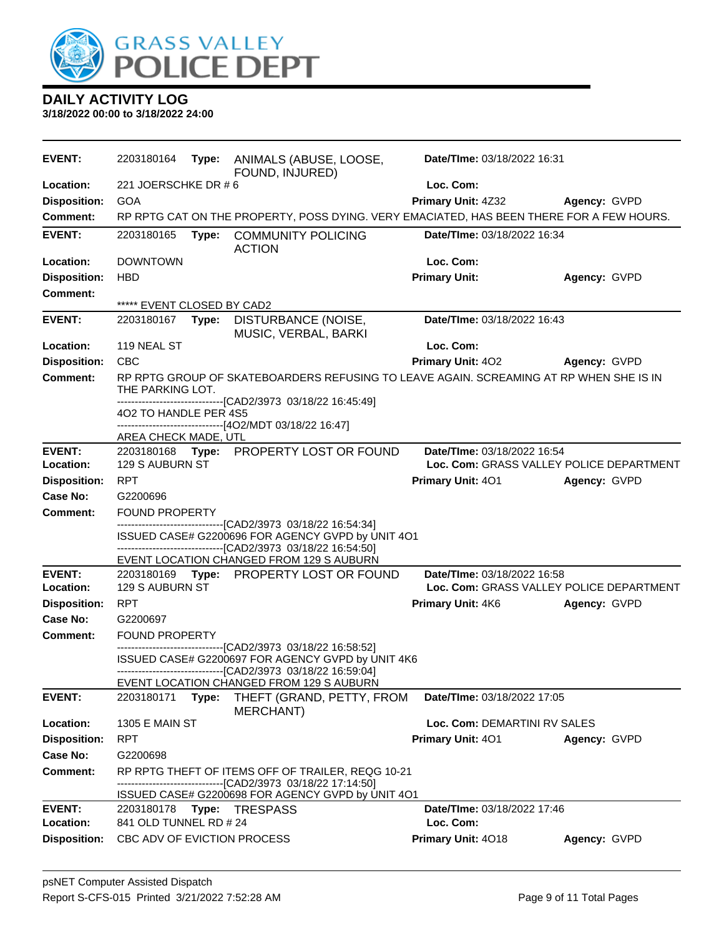

| <b>EVENT:</b>              | 2203180164                  |       | Type: ANIMALS (ABUSE, LOOSE,<br>FOUND, INJURED)                                                                    | Date/TIme: 03/18/2022 16:31                                             |              |
|----------------------------|-----------------------------|-------|--------------------------------------------------------------------------------------------------------------------|-------------------------------------------------------------------------|--------------|
| Location:                  | 221 JOERSCHKE DR #6         |       |                                                                                                                    | Loc. Com:                                                               |              |
| <b>Disposition:</b>        | <b>GOA</b>                  |       |                                                                                                                    | <b>Primary Unit: 4Z32</b>                                               | Agency: GVPD |
| <b>Comment:</b>            |                             |       | RP RPTG CAT ON THE PROPERTY, POSS DYING. VERY EMACIATED, HAS BEEN THERE FOR A FEW HOURS.                           |                                                                         |              |
| <b>EVENT:</b>              | 2203180165                  | Type: | <b>COMMUNITY POLICING</b><br><b>ACTION</b>                                                                         | Date/TIme: 03/18/2022 16:34                                             |              |
| Location:                  | <b>DOWNTOWN</b>             |       |                                                                                                                    | Loc. Com:                                                               |              |
| <b>Disposition:</b>        | <b>HBD</b>                  |       |                                                                                                                    | <b>Primary Unit:</b>                                                    | Agency: GVPD |
| <b>Comment:</b>            |                             |       |                                                                                                                    |                                                                         |              |
|                            | ***** EVENT CLOSED BY CAD2  |       |                                                                                                                    |                                                                         |              |
| <b>EVENT:</b>              | 2203180167                  |       | Type: DISTURBANCE (NOISE,<br>MUSIC, VERBAL, BARKI                                                                  | Date/TIme: 03/18/2022 16:43                                             |              |
| Location:                  | 119 NEAL ST                 |       |                                                                                                                    | Loc. Com:                                                               |              |
| <b>Disposition:</b>        | <b>CBC</b>                  |       |                                                                                                                    | <b>Primary Unit: 402</b>                                                | Agency: GVPD |
| <b>Comment:</b>            | THE PARKING LOT.            |       | RP RPTG GROUP OF SKATEBOARDERS REFUSING TO LEAVE AGAIN. SCREAMING AT RP WHEN SHE IS IN                             |                                                                         |              |
|                            |                             |       | -------------------------------[CAD2/3973 03/18/22 16:45:49]                                                       |                                                                         |              |
|                            | 402 TO HANDLE PER 4S5       |       | ------------------------------[4O2/MDT 03/18/22 16:47]                                                             |                                                                         |              |
|                            | AREA CHECK MADE, UTL        |       |                                                                                                                    |                                                                         |              |
| <b>EVENT:</b>              |                             |       | 2203180168 Type: PROPERTY LOST OR FOUND                                                                            | Date/TIme: 03/18/2022 16:54                                             |              |
| Location:                  | 129 S AUBURN ST             |       |                                                                                                                    | Loc. Com: GRASS VALLEY POLICE DEPARTMENT                                |              |
| <b>Disposition:</b>        | <b>RPT</b>                  |       |                                                                                                                    | Primary Unit: 401                                                       | Agency: GVPD |
| Case No:                   | G2200696                    |       |                                                                                                                    |                                                                         |              |
| <b>Comment:</b>            | <b>FOUND PROPERTY</b>       |       |                                                                                                                    |                                                                         |              |
|                            |                             |       | --------------------------------[CAD2/3973 03/18/22 16:54:34]<br>ISSUED CASE# G2200696 FOR AGENCY GVPD by UNIT 4O1 |                                                                         |              |
|                            |                             |       | ------------------------------[CAD2/3973 03/18/22 16:54:50]                                                        |                                                                         |              |
|                            |                             |       | EVENT LOCATION CHANGED FROM 129 S AUBURN                                                                           |                                                                         |              |
| <b>EVENT:</b><br>Location: | 129 S AUBURN ST             |       | 2203180169 Type: PROPERTY LOST OR FOUND                                                                            | Date/TIme: 03/18/2022 16:58<br>Loc. Com: GRASS VALLEY POLICE DEPARTMENT |              |
| <b>Disposition:</b>        | <b>RPT</b>                  |       |                                                                                                                    | Primary Unit: 4K6                                                       | Agency: GVPD |
| Case No:                   | G2200697                    |       |                                                                                                                    |                                                                         |              |
| Comment:                   | <b>FOUND PROPERTY</b>       |       |                                                                                                                    |                                                                         |              |
|                            |                             |       | -------------------------------[CAD2/3973_03/18/22 16:58:52]<br>ISSUED CASE# G2200697 FOR AGENCY GVPD by UNIT 4K6  |                                                                         |              |
|                            |                             |       | -------------------------------[CAD2/3973 03/18/22 16:59:04]                                                       |                                                                         |              |
|                            |                             |       | EVENT LOCATION CHANGED FROM 129 S AUBURN                                                                           |                                                                         |              |
| <b>EVENT:</b>              | 2203180171                  | Type: | THEFT (GRAND, PETTY, FROM<br><b>MERCHANT)</b>                                                                      | Date/TIme: 03/18/2022 17:05                                             |              |
| Location:                  | <b>1305 E MAIN ST</b>       |       |                                                                                                                    | Loc. Com: DEMARTINI RV SALES                                            |              |
| <b>Disposition:</b>        | <b>RPT</b>                  |       |                                                                                                                    | Primary Unit: 401                                                       | Agency: GVPD |
| Case No:                   | G2200698                    |       |                                                                                                                    |                                                                         |              |
| Comment:                   |                             |       | RP RPTG THEFT OF ITEMS OFF OF TRAILER, REQG 10-21                                                                  |                                                                         |              |
|                            |                             |       | -------------------------------[CAD2/3973 03/18/22 17:14:50]                                                       |                                                                         |              |
|                            |                             |       | ISSUED CASE# G2200698 FOR AGENCY GVPD by UNIT 4O1                                                                  | Date/TIme: 03/18/2022 17:46                                             |              |
| <b>EVENT:</b><br>Location: | 841 OLD TUNNEL RD # 24      |       |                                                                                                                    | Loc. Com:                                                               |              |
| <b>Disposition:</b>        | CBC ADV OF EVICTION PROCESS |       |                                                                                                                    | Primary Unit: 4018                                                      | Agency: GVPD |
|                            |                             |       |                                                                                                                    |                                                                         |              |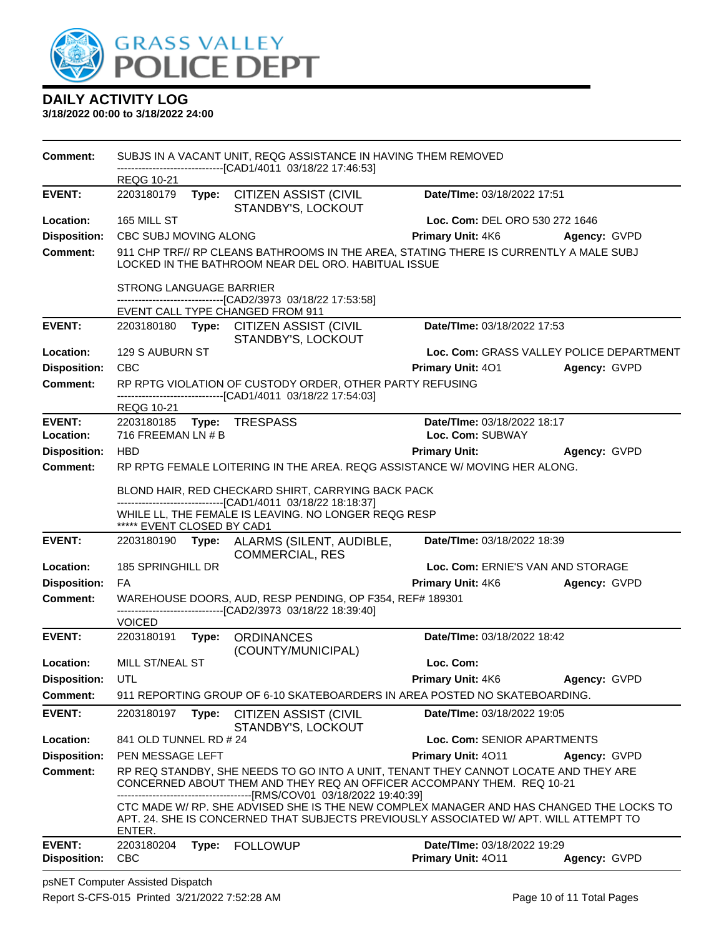

| <b>Comment:</b>     |                                |       | SUBJS IN A VACANT UNIT, REQG ASSISTANCE IN HAVING THEM REMOVED                                                                                                                                                                                     |                                   |                                          |
|---------------------|--------------------------------|-------|----------------------------------------------------------------------------------------------------------------------------------------------------------------------------------------------------------------------------------------------------|-----------------------------------|------------------------------------------|
|                     | <b>REQG 10-21</b>              |       | -------------------------------[CAD1/4011 03/18/22 17:46:53]                                                                                                                                                                                       |                                   |                                          |
| <b>EVENT:</b>       | 2203180179                     |       | Type: CITIZEN ASSIST (CIVIL<br>STANDBY'S, LOCKOUT                                                                                                                                                                                                  | Date/TIme: 03/18/2022 17:51       |                                          |
| Location:           | 165 MILL ST                    |       |                                                                                                                                                                                                                                                    | Loc. Com: DEL ORO 530 272 1646    |                                          |
| <b>Disposition:</b> | CBC SUBJ MOVING ALONG          |       |                                                                                                                                                                                                                                                    | Primary Unit: 4K6                 | Agency: GVPD                             |
| <b>Comment:</b>     |                                |       | 911 CHP TRF// RP CLEANS BATHROOMS IN THE AREA, STATING THERE IS CURRENTLY A MALE SUBJ<br>LOCKED IN THE BATHROOM NEAR DEL ORO. HABITUAL ISSUE                                                                                                       |                                   |                                          |
|                     | <b>STRONG LANGUAGE BARRIER</b> |       |                                                                                                                                                                                                                                                    |                                   |                                          |
|                     |                                |       | -------------------------------[CAD2/3973_03/18/22_17:53:58]<br>EVENT CALL TYPE CHANGED FROM 911                                                                                                                                                   |                                   |                                          |
| <b>EVENT:</b>       |                                |       | 2203180180 Type: CITIZEN ASSIST (CIVIL<br>STANDBY'S, LOCKOUT                                                                                                                                                                                       | Date/TIme: 03/18/2022 17:53       |                                          |
| Location:           | 129 S AUBURN ST                |       |                                                                                                                                                                                                                                                    |                                   | Loc. Com: GRASS VALLEY POLICE DEPARTMENT |
| <b>Disposition:</b> | <b>CBC</b>                     |       |                                                                                                                                                                                                                                                    | Primary Unit: 401                 | Agency: GVPD                             |
| <b>Comment:</b>     |                                |       | RP RPTG VIOLATION OF CUSTODY ORDER, OTHER PARTY REFUSING<br>-------------------------------[CAD1/4011 03/18/22 17:54:03]                                                                                                                           |                                   |                                          |
| <b>EVENT:</b>       | <b>REQG 10-21</b>              |       |                                                                                                                                                                                                                                                    | Date/TIme: 03/18/2022 18:17       |                                          |
| Location:           | 716 FREEMAN LN # B             |       | 2203180185    Type: TRESPASS                                                                                                                                                                                                                       | Loc. Com: SUBWAY                  |                                          |
| <b>Disposition:</b> | <b>HBD</b>                     |       |                                                                                                                                                                                                                                                    | <b>Primary Unit:</b>              | Agency: GVPD                             |
| <b>Comment:</b>     |                                |       | RP RPTG FEMALE LOITERING IN THE AREA. REQG ASSISTANCE W/ MOVING HER ALONG.                                                                                                                                                                         |                                   |                                          |
|                     |                                |       | BLOND HAIR, RED CHECKARD SHIRT, CARRYING BACK PACK                                                                                                                                                                                                 |                                   |                                          |
|                     |                                |       | -------------------------------[CAD1/4011 03/18/22 18:18:37]                                                                                                                                                                                       |                                   |                                          |
|                     | ***** EVENT CLOSED BY CAD1     |       | WHILE LL, THE FEMALE IS LEAVING. NO LONGER REQG RESP                                                                                                                                                                                               |                                   |                                          |
| <b>EVENT:</b>       |                                |       | 2203180190 Type: ALARMS (SILENT, AUDIBLE,<br><b>COMMERCIAL, RES</b>                                                                                                                                                                                | Date/TIme: 03/18/2022 18:39       |                                          |
| Location:           | 185 SPRINGHILL DR              |       |                                                                                                                                                                                                                                                    | Loc. Com: ERNIE'S VAN AND STORAGE |                                          |
| <b>Disposition:</b> | FA                             |       |                                                                                                                                                                                                                                                    | <b>Primary Unit: 4K6</b>          | Agency: GVPD                             |
| <b>Comment:</b>     |                                |       | WAREHOUSE DOORS, AUD, RESP PENDING, OP F354, REF# 189301<br>-------------------------------[CAD2/3973 03/18/22 18:39:40]                                                                                                                           |                                   |                                          |
|                     | <b>VOICED</b>                  |       |                                                                                                                                                                                                                                                    |                                   |                                          |
| <b>EVENT:</b>       | 2203180191 Type:               |       | <b>ORDINANCES</b><br>(COUNTY/MUNICIPAL)                                                                                                                                                                                                            | Date/TIme: 03/18/2022 18:42       |                                          |
| Location:           | MILL ST/NEAL ST                |       |                                                                                                                                                                                                                                                    | Loc. Com:                         |                                          |
| Disposition: UTL    |                                |       |                                                                                                                                                                                                                                                    | <b>Primary Unit: 4K6</b>          | Agency: GVPD                             |
| Comment:            |                                |       | 911 REPORTING GROUP OF 6-10 SKATEBOARDERS IN AREA POSTED NO SKATEBOARDING.                                                                                                                                                                         |                                   |                                          |
| <b>EVENT:</b>       | 2203180197                     | Type: | <b>CITIZEN ASSIST (CIVIL</b><br>STANDBY'S, LOCKOUT                                                                                                                                                                                                 | Date/TIme: 03/18/2022 19:05       |                                          |
| Location:           | 841 OLD TUNNEL RD # 24         |       |                                                                                                                                                                                                                                                    | Loc. Com: SENIOR APARTMENTS       |                                          |
| <b>Disposition:</b> | PEN MESSAGE LEFT               |       |                                                                                                                                                                                                                                                    | Primary Unit: 4011                | Agency: GVPD                             |
| <b>Comment:</b>     |                                |       | RP REQ STANDBY, SHE NEEDS TO GO INTO A UNIT, TENANT THEY CANNOT LOCATE AND THEY ARE<br>CONCERNED ABOUT THEM AND THEY REQ AN OFFICER ACCOMPANY THEM. REQ 10-21                                                                                      |                                   |                                          |
|                     | ENTER.                         |       | -------------------------------[RMS/COV01_03/18/2022 19:40:39]<br>CTC MADE W/ RP. SHE ADVISED SHE IS THE NEW COMPLEX MANAGER AND HAS CHANGED THE LOCKS TO<br>APT. 24. SHE IS CONCERNED THAT SUBJECTS PREVIOUSLY ASSOCIATED W/ APT. WILL ATTEMPT TO |                                   |                                          |
| <b>EVENT:</b>       | 2203180204                     | Type: | <b>FOLLOWUP</b>                                                                                                                                                                                                                                    | Date/TIme: 03/18/2022 19:29       |                                          |
| <b>Disposition:</b> | <b>CBC</b>                     |       |                                                                                                                                                                                                                                                    | Primary Unit: 4011                | Agency: GVPD                             |